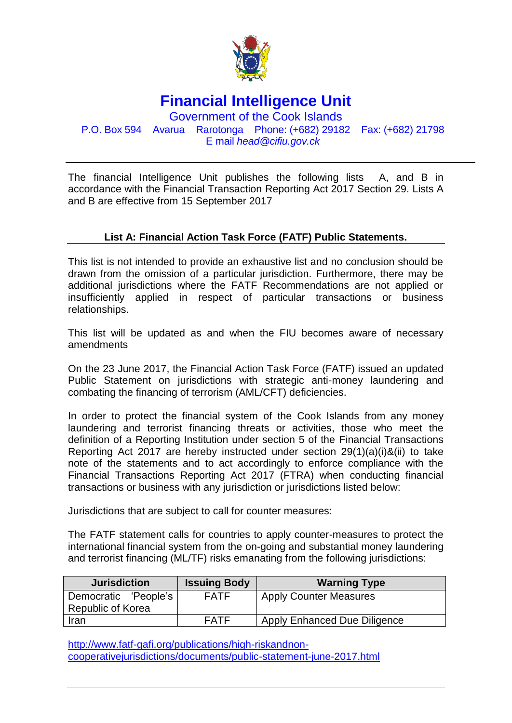

**Financial Intelligence Unit**

Government of the Cook Islands P.O. Box 594 Avarua Rarotonga Phone: (+682) 29182 Fax: (+682) 21798 E mail *head@cifiu.gov.ck*

The financial Intelligence Unit publishes the following lists A, and B in accordance with the Financial Transaction Reporting Act 2017 Section 29. Lists A and B are effective from 15 September 2017

## **List A: Financial Action Task Force (FATF) Public Statements.**

This list is not intended to provide an exhaustive list and no conclusion should be drawn from the omission of a particular jurisdiction. Furthermore, there may be additional jurisdictions where the FATF Recommendations are not applied or insufficiently applied in respect of particular transactions or business relationships.

This list will be updated as and when the FIU becomes aware of necessary amendments

On the 23 June 2017, the Financial Action Task Force (FATF) issued an updated Public Statement on jurisdictions with strategic anti-money laundering and combating the financing of terrorism (AML/CFT) deficiencies.

In order to protect the financial system of the Cook Islands from any money laundering and terrorist financing threats or activities, those who meet the definition of a Reporting Institution under section 5 of the Financial Transactions Reporting Act 2017 are hereby instructed under section 29(1)(a)(i)&(ii) to take note of the statements and to act accordingly to enforce compliance with the Financial Transactions Reporting Act 2017 (FTRA) when conducting financial transactions or business with any jurisdiction or jurisdictions listed below:

Jurisdictions that are subject to call for counter measures:

The FATF statement calls for countries to apply counter-measures to protect the international financial system from the on-going and substantial money laundering and terrorist financing (ML/TF) risks emanating from the following jurisdictions:

| <b>Jurisdiction</b>      | <b>Issuing Body</b> | <b>Warning Type</b>                 |
|--------------------------|---------------------|-------------------------------------|
| Democratic 'People's     | <b>FATF</b>         | <b>Apply Counter Measures</b>       |
| <b>Republic of Korea</b> |                     |                                     |
| Iran                     | FATF                | <b>Apply Enhanced Due Diligence</b> |

[http://www.fatf-gafi.org/publications/high-riskandnon](http://www.fatf-gafi.org/publications/high-riskandnon-cooperativejurisdictions/documents/public-statement-june-2017.html)[cooperativejurisdictions/documents/public-statement-june-2017.html](http://www.fatf-gafi.org/publications/high-riskandnon-cooperativejurisdictions/documents/public-statement-june-2017.html)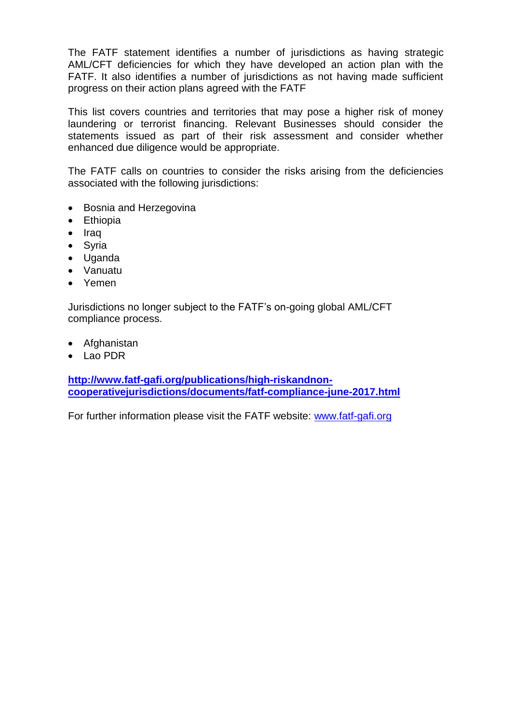The FATF statement identifies a number of jurisdictions as having strategic AML/CFT deficiencies for which they have developed an action plan with the FATF. It also identifies a number of jurisdictions as not having made sufficient progress on their action plans agreed with the FATF

This list covers countries and territories that may pose a higher risk of money laundering or terrorist financing. Relevant Businesses should consider the statements issued as part of their risk assessment and consider whether enhanced due diligence would be appropriate.

The FATF calls on countries to consider the risks arising from the deficiencies associated with the following jurisdictions:

- Bosnia and Herzegovina
- Ethiopia
- Iraq
- Syria
- Uganda
- Vanuatu
- Yemen

Jurisdictions no longer subject to the FATF's on-going global AML/CFT compliance process.

- Afghanistan
- Lao PDR

**[http://www.fatf-gafi.org/publications/high-riskandnon](http://www.fatf-gafi.org/publications/high-riskandnon-cooperativejurisdictions/documents/fatf-compliance-june-2017.html)[cooperativejurisdictions/documents/fatf-compliance-june-2017.html](http://www.fatf-gafi.org/publications/high-riskandnon-cooperativejurisdictions/documents/fatf-compliance-june-2017.html)**

For further information please visit the FATF website: [www.fatf-gafi.org](http://www.fatf-gafi.org/)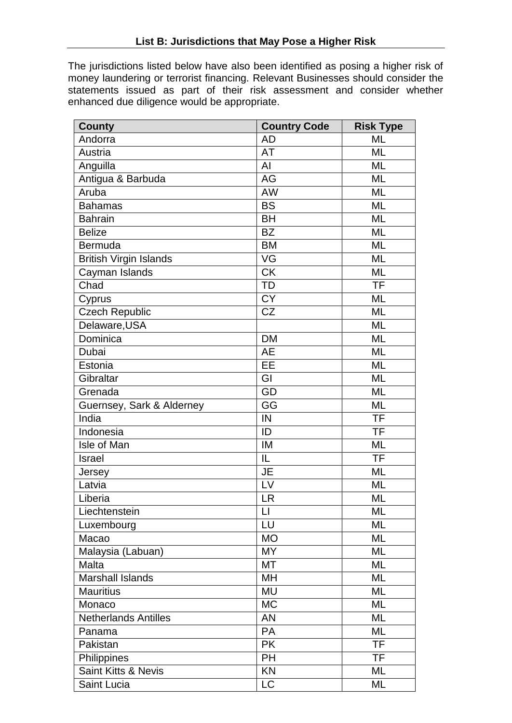The jurisdictions listed below have also been identified as posing a higher risk of money laundering or terrorist financing. Relevant Businesses should consider the statements issued as part of their risk assessment and consider whether enhanced due diligence would be appropriate.

| <b>County</b>                 | <b>Country Code</b> | <b>Risk Type</b> |
|-------------------------------|---------------------|------------------|
| Andorra                       | <b>AD</b>           | <b>ML</b>        |
| Austria                       | AT                  | ML               |
| Anguilla                      | Al                  | <b>ML</b>        |
| Antigua & Barbuda             | AG                  | <b>ML</b>        |
| Aruba                         | <b>AW</b>           | ML               |
| <b>Bahamas</b>                | <b>BS</b>           | <b>ML</b>        |
| <b>Bahrain</b>                | <b>BH</b>           | <b>ML</b>        |
| <b>Belize</b>                 | <b>BZ</b>           | <b>ML</b>        |
| Bermuda                       | <b>BM</b>           | <b>ML</b>        |
| <b>British Virgin Islands</b> | VG                  | <b>ML</b>        |
| Cayman Islands                | <b>CK</b>           | ML               |
| Chad                          | <b>TD</b>           | <b>TF</b>        |
| Cyprus                        | <b>CY</b>           | <b>ML</b>        |
| <b>Czech Republic</b>         | <b>CZ</b>           | <b>ML</b>        |
| Delaware, USA                 |                     | <b>ML</b>        |
| Dominica                      | <b>DM</b>           | <b>ML</b>        |
| Dubai                         | <b>AE</b>           | ML               |
| Estonia                       | EE                  | <b>ML</b>        |
| Gibraltar                     | GI                  | <b>ML</b>        |
| Grenada                       | GD                  | <b>ML</b>        |
| Guernsey, Sark & Alderney     | GG                  | <b>ML</b>        |
| India                         | IN                  | <b>TF</b>        |
| Indonesia                     | ID                  | <b>TF</b>        |
| Isle of Man                   | IM                  | ML               |
| <b>Israel</b>                 | IL                  | <b>TF</b>        |
| Jersey                        | JE                  | <b>ML</b>        |
| Latvia                        | LV                  | <b>ML</b>        |
| Liberia                       | <b>LR</b>           | ML               |
| Liechtenstein                 | $\sqcup$            | ML               |
| Luxembourg                    | LU                  | ML               |
| Macao                         | <b>MO</b>           | ML               |
| Malaysia (Labuan)             | <b>MY</b>           | ML               |
| Malta                         | МT                  | ML               |
| <b>Marshall Islands</b>       | MH                  | ML               |
| <b>Mauritius</b>              | <b>MU</b>           | ML               |
| Monaco                        | <b>MC</b>           | ML               |
| <b>Netherlands Antilles</b>   | <b>AN</b>           | <b>ML</b>        |
| Panama                        | <b>PA</b>           | ML               |
| Pakistan                      | <b>PK</b>           | <b>TF</b>        |
| Philippines                   | <b>PH</b>           | TF               |
| Saint Kitts & Nevis           | KN                  | ML               |
| Saint Lucia                   | LC                  | ML               |